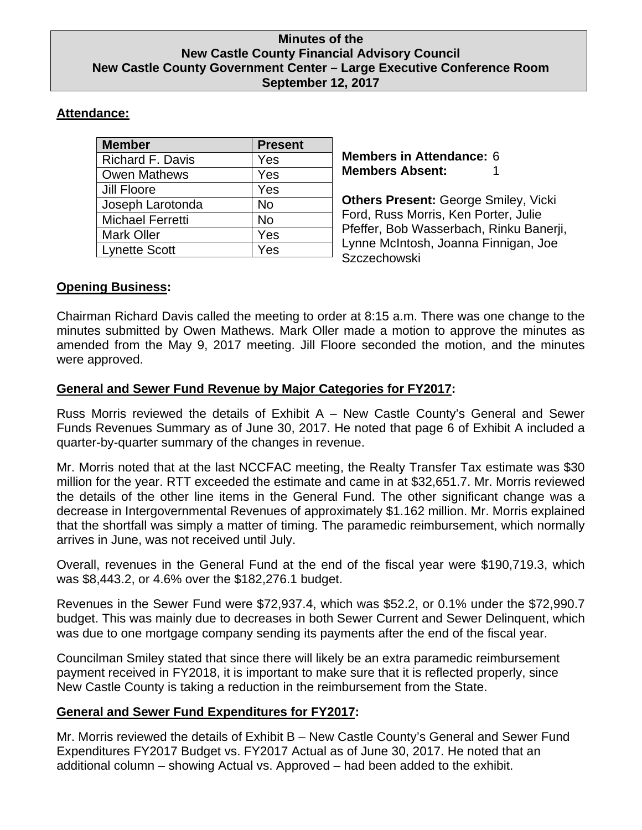#### **Minutes of the New Castle County Financial Advisory Council New Castle County Government Center – Large Executive Conference Room September 12, 2017**

# **Attendance:**

| <b>Member</b>           | <b>Present</b> |
|-------------------------|----------------|
| <b>Richard F. Davis</b> | Yes            |
| <b>Owen Mathews</b>     | Yes            |
| Jill Floore             | Yes            |
| Joseph Larotonda        | <b>No</b>      |
| <b>Michael Ferretti</b> | <b>No</b>      |
| <b>Mark Oller</b>       | Yes            |
| <b>Lynette Scott</b>    | Yes            |

**Members in Attendance:** 6 **Members Absent:** 

**Others Present:** George Smiley, Vicki Ford, Russ Morris, Ken Porter, Julie Pfeffer, Bob Wasserbach, Rinku Banerji, Lynne McIntosh, Joanna Finnigan, Joe **Szczechowski** 

## **Opening Business:**

Chairman Richard Davis called the meeting to order at 8:15 a.m. There was one change to the minutes submitted by Owen Mathews. Mark Oller made a motion to approve the minutes as amended from the May 9, 2017 meeting. Jill Floore seconded the motion, and the minutes were approved.

## **General and Sewer Fund Revenue by Major Categories for FY2017:**

Russ Morris reviewed the details of Exhibit A – New Castle County's General and Sewer Funds Revenues Summary as of June 30, 2017. He noted that page 6 of Exhibit A included a quarter-by-quarter summary of the changes in revenue.

Mr. Morris noted that at the last NCCFAC meeting, the Realty Transfer Tax estimate was \$30 million for the year. RTT exceeded the estimate and came in at \$32,651.7. Mr. Morris reviewed the details of the other line items in the General Fund. The other significant change was a decrease in Intergovernmental Revenues of approximately \$1.162 million. Mr. Morris explained that the shortfall was simply a matter of timing. The paramedic reimbursement, which normally arrives in June, was not received until July.

Overall, revenues in the General Fund at the end of the fiscal year were \$190,719.3, which was \$8,443.2, or 4.6% over the \$182,276.1 budget.

Revenues in the Sewer Fund were \$72,937.4, which was \$52.2, or 0.1% under the \$72,990.7 budget. This was mainly due to decreases in both Sewer Current and Sewer Delinquent, which was due to one mortgage company sending its payments after the end of the fiscal year.

Councilman Smiley stated that since there will likely be an extra paramedic reimbursement payment received in FY2018, it is important to make sure that it is reflected properly, since New Castle County is taking a reduction in the reimbursement from the State.

# **General and Sewer Fund Expenditures for FY2017:**

Mr. Morris reviewed the details of Exhibit B – New Castle County's General and Sewer Fund Expenditures FY2017 Budget vs. FY2017 Actual as of June 30, 2017. He noted that an additional column – showing Actual vs. Approved – had been added to the exhibit.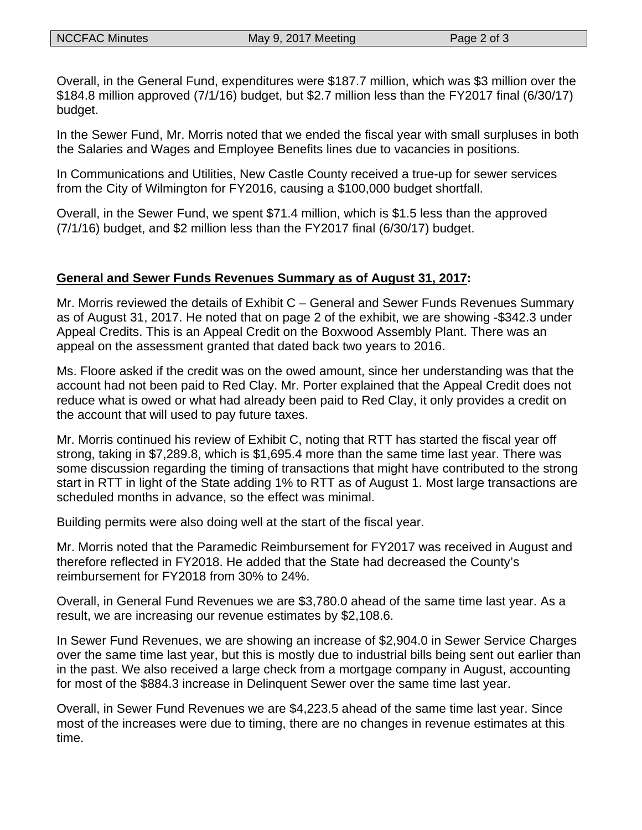Overall, in the General Fund, expenditures were \$187.7 million, which was \$3 million over the \$184.8 million approved (7/1/16) budget, but \$2.7 million less than the FY2017 final (6/30/17) budget.

In the Sewer Fund, Mr. Morris noted that we ended the fiscal year with small surpluses in both the Salaries and Wages and Employee Benefits lines due to vacancies in positions.

In Communications and Utilities, New Castle County received a true-up for sewer services from the City of Wilmington for FY2016, causing a \$100,000 budget shortfall.

Overall, in the Sewer Fund, we spent \$71.4 million, which is \$1.5 less than the approved (7/1/16) budget, and \$2 million less than the FY2017 final (6/30/17) budget.

#### **General and Sewer Funds Revenues Summary as of August 31, 2017:**

Mr. Morris reviewed the details of Exhibit C – General and Sewer Funds Revenues Summary as of August 31, 2017. He noted that on page 2 of the exhibit, we are showing -\$342.3 under Appeal Credits. This is an Appeal Credit on the Boxwood Assembly Plant. There was an appeal on the assessment granted that dated back two years to 2016.

Ms. Floore asked if the credit was on the owed amount, since her understanding was that the account had not been paid to Red Clay. Mr. Porter explained that the Appeal Credit does not reduce what is owed or what had already been paid to Red Clay, it only provides a credit on the account that will used to pay future taxes.

Mr. Morris continued his review of Exhibit C, noting that RTT has started the fiscal year off strong, taking in \$7,289.8, which is \$1,695.4 more than the same time last year. There was some discussion regarding the timing of transactions that might have contributed to the strong start in RTT in light of the State adding 1% to RTT as of August 1. Most large transactions are scheduled months in advance, so the effect was minimal.

Building permits were also doing well at the start of the fiscal year.

Mr. Morris noted that the Paramedic Reimbursement for FY2017 was received in August and therefore reflected in FY2018. He added that the State had decreased the County's reimbursement for FY2018 from 30% to 24%.

Overall, in General Fund Revenues we are \$3,780.0 ahead of the same time last year. As a result, we are increasing our revenue estimates by \$2,108.6.

In Sewer Fund Revenues, we are showing an increase of \$2,904.0 in Sewer Service Charges over the same time last year, but this is mostly due to industrial bills being sent out earlier than in the past. We also received a large check from a mortgage company in August, accounting for most of the \$884.3 increase in Delinquent Sewer over the same time last year.

Overall, in Sewer Fund Revenues we are \$4,223.5 ahead of the same time last year. Since most of the increases were due to timing, there are no changes in revenue estimates at this time.